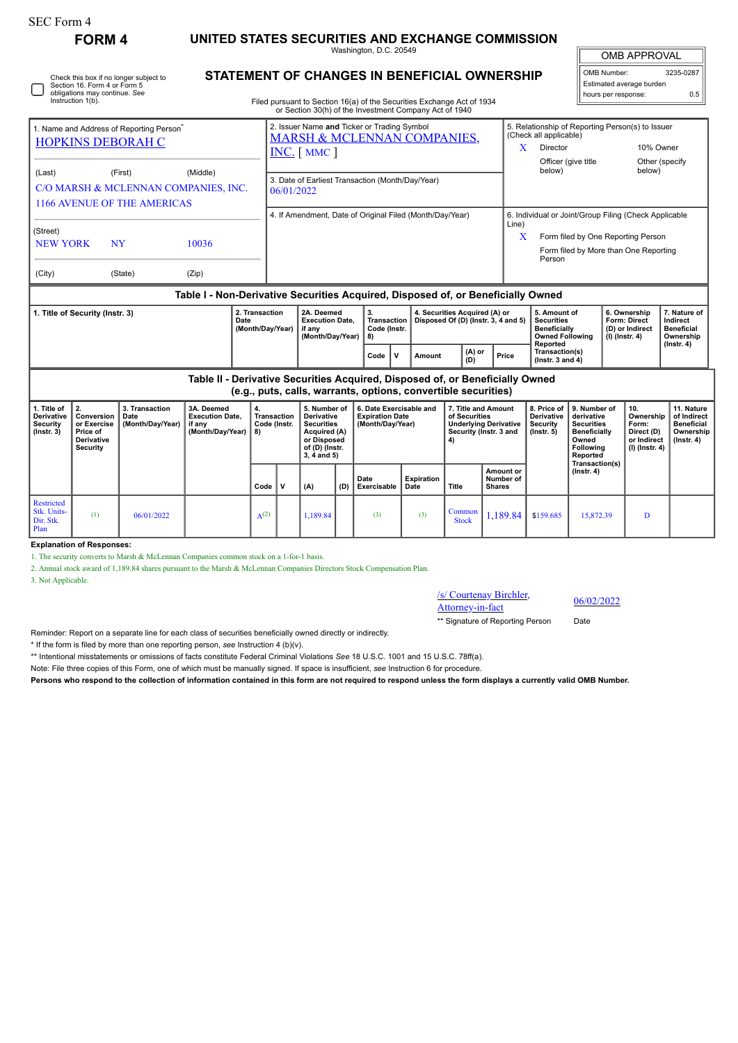| SEC Form 4                                                                                                                                                        | <b>FORM4</b>                                                          |                                                  | UNITED STATES SECURITIES AND EXCHANGE COMMISSION                                                      |                                                                |                                                                        |                                                                                                                        |                     |                                                                                                                                                                                  |                    |                                                                                                                                                                        |                                                                                                                                      |                                                                                                |                                                                                                                                   |                                                                   |                                                                          |                                                                                 |
|-------------------------------------------------------------------------------------------------------------------------------------------------------------------|-----------------------------------------------------------------------|--------------------------------------------------|-------------------------------------------------------------------------------------------------------|----------------------------------------------------------------|------------------------------------------------------------------------|------------------------------------------------------------------------------------------------------------------------|---------------------|----------------------------------------------------------------------------------------------------------------------------------------------------------------------------------|--------------------|------------------------------------------------------------------------------------------------------------------------------------------------------------------------|--------------------------------------------------------------------------------------------------------------------------------------|------------------------------------------------------------------------------------------------|-----------------------------------------------------------------------------------------------------------------------------------|-------------------------------------------------------------------|--------------------------------------------------------------------------|---------------------------------------------------------------------------------|
|                                                                                                                                                                   |                                                                       |                                                  | Washington, D.C. 20549                                                                                |                                                                |                                                                        |                                                                                                                        | <b>OMB APPROVAL</b> |                                                                                                                                                                                  |                    |                                                                                                                                                                        |                                                                                                                                      |                                                                                                |                                                                                                                                   |                                                                   |                                                                          |                                                                                 |
| Check this box if no longer subject to<br>Section 16. Form 4 or Form 5<br>obligations may continue. See<br>Instruction 1(b).                                      |                                                                       |                                                  |                                                                                                       |                                                                |                                                                        |                                                                                                                        |                     | STATEMENT OF CHANGES IN BENEFICIAL OWNERSHIP<br>Filed pursuant to Section 16(a) of the Securities Exchange Act of 1934<br>or Section 30(h) of the Investment Company Act of 1940 |                    |                                                                                                                                                                        |                                                                                                                                      |                                                                                                |                                                                                                                                   | OMB Number:<br>hours per response:                                | Estimated average burden                                                 | 3235-0287<br>0.5                                                                |
| 1. Name and Address of Reporting Person <sup>7</sup><br><b>HOPKINS DEBORAH C</b>                                                                                  |                                                                       |                                                  | 2. Issuer Name and Ticker or Trading Symbol<br><b>MARSH &amp; MCLENNAN COMPANIES,</b><br>INC. [ MMC ] |                                                                |                                                                        |                                                                                                                        |                     |                                                                                                                                                                                  |                    | 5. Relationship of Reporting Person(s) to Issuer<br>(Check all applicable)<br>Director<br>10% Owner<br>X.<br>Other (specify<br>Officer (give title<br>below)<br>below) |                                                                                                                                      |                                                                                                |                                                                                                                                   |                                                                   |                                                                          |                                                                                 |
| (Last)                                                                                                                                                            | (First)<br><b>1166 AVENUE OF THE AMERICAS</b>                         | (Middle)<br>C/O MARSH & MCLENNAN COMPANIES, INC. |                                                                                                       | 3. Date of Earliest Transaction (Month/Day/Year)<br>06/01/2022 |                                                                        |                                                                                                                        |                     |                                                                                                                                                                                  |                    |                                                                                                                                                                        |                                                                                                                                      |                                                                                                |                                                                                                                                   |                                                                   |                                                                          |                                                                                 |
| (Street)<br><b>NEW YORK</b>                                                                                                                                       | NY                                                                    | 10036                                            |                                                                                                       |                                                                | 4. If Amendment, Date of Original Filed (Month/Day/Year)<br>Line)<br>X |                                                                                                                        |                     |                                                                                                                                                                                  |                    |                                                                                                                                                                        | 6. Individual or Joint/Group Filing (Check Applicable<br>Form filed by One Reporting Person<br>Form filed by More than One Reporting |                                                                                                |                                                                                                                                   |                                                                   |                                                                          |                                                                                 |
| (State)<br>(Zip)<br>(City)                                                                                                                                        |                                                                       |                                                  |                                                                                                       |                                                                |                                                                        |                                                                                                                        |                     |                                                                                                                                                                                  |                    |                                                                                                                                                                        |                                                                                                                                      | Person                                                                                         |                                                                                                                                   |                                                                   |                                                                          |                                                                                 |
| Table I - Non-Derivative Securities Acquired, Disposed of, or Beneficially Owned<br>2. Transaction<br>1. Title of Security (Instr. 3)<br>Date<br>(Month/Day/Year) |                                                                       |                                                  |                                                                                                       |                                                                |                                                                        | 2A. Deemed<br><b>Execution Date.</b><br>if anv<br>(Month/Day/Year)                                                     |                     | 3.<br>Transaction<br>Code (Instr.<br>8)                                                                                                                                          |                    | 4. Securities Acquired (A) or                                                                                                                                          | Disposed Of (D) (Instr. 3, 4 and 5)                                                                                                  | 5. Amount of<br><b>Securities</b><br><b>Beneficially</b><br><b>Owned Following</b><br>Reported |                                                                                                                                   | 6. Ownership<br>Form: Direct<br>(D) or Indirect<br>(I) (Instr. 4) |                                                                          | 7. Nature of<br>Indirect<br><b>Beneficial</b><br>Ownership                      |
|                                                                                                                                                                   |                                                                       |                                                  |                                                                                                       |                                                                |                                                                        |                                                                                                                        |                     | $\mathbf v$<br>Code                                                                                                                                                              | Amount             | (A) or<br>(D)                                                                                                                                                          | Price                                                                                                                                | Transaction(s)<br>( $lnstr. 3 and 4$ )                                                         |                                                                                                                                   |                                                                   |                                                                          | $($ Instr. 4 $)$                                                                |
|                                                                                                                                                                   |                                                                       |                                                  | Table II - Derivative Securities Acquired, Disposed of, or Beneficially Owned                         |                                                                |                                                                        |                                                                                                                        |                     | (e.g., puts, calls, warrants, options, convertible securities)                                                                                                                   |                    |                                                                                                                                                                        |                                                                                                                                      |                                                                                                |                                                                                                                                   |                                                                   |                                                                          |                                                                                 |
| 1. Title of<br>Derivative<br><b>Security</b><br>$($ Instr. 3 $)$                                                                                                  | 2.<br>Conversion<br>or Exercise<br>Price of<br>Derivative<br>Security | 3. Transaction<br>Date<br>(Month/Day/Year)       | 3A. Deemed<br><b>Execution Date.</b><br>if any<br>(Month/Day/Year)                                    | 4.<br>8)                                                       | <b>Transaction</b><br>Code (Instr.                                     | 5. Number of<br><b>Derivative</b><br><b>Securities</b><br>Acquired (A)<br>or Disposed<br>of (D) (Instr.<br>3, 4 and 5) |                     | 6. Date Exercisable and<br><b>Expiration Date</b><br>(Month/Day/Year)                                                                                                            |                    | 7. Title and Amount<br>of Securities<br>4)                                                                                                                             | <b>Underlying Derivative</b><br>Security (Instr. 3 and                                                                               | 8. Price of<br>Derivative<br>Security<br>$($ Instr. $5)$                                       | 9. Number of<br>derivative<br><b>Securities</b><br><b>Beneficially</b><br>Owned<br><b>Following</b><br>Reported<br>Transaction(s) |                                                                   | 10.<br>Ownership<br>Form:<br>Direct (D)<br>or Indirect<br>(I) (Instr. 4) | 11. Nature<br>of Indirect<br><b>Beneficial</b><br>Ownership<br>$($ Instr. 4 $)$ |
|                                                                                                                                                                   |                                                                       |                                                  |                                                                                                       | Code                                                           | V                                                                      | (A)                                                                                                                    | (D)                 | Date<br>Exercisable                                                                                                                                                              | Expiration<br>Date | Title                                                                                                                                                                  | Amount or<br>Number of<br><b>Shares</b>                                                                                              |                                                                                                | $($ Instr. 4 $)$                                                                                                                  |                                                                   |                                                                          |                                                                                 |
| <b>Restricted</b><br>Stk. Units-<br>Dir. Stk.<br>Plan                                                                                                             | (1)                                                                   | 06/01/2022                                       |                                                                                                       | $A^{(2)}$                                                      |                                                                        | 1.189.84                                                                                                               |                     | (3)                                                                                                                                                                              | (3)                | Common<br><b>Stock</b>                                                                                                                                                 | 1.189.84                                                                                                                             | \$159.685                                                                                      | 15.872.39                                                                                                                         |                                                                   | D                                                                        |                                                                                 |

**Explanation of Responses:**

1. The security converts to Marsh & McLennan Companies common stock on a 1-for-1 basis.

2. Annual stock award of 1,189.84 shares pursuant to the Marsh & McLennan Companies Directors Stock Compensation Plan.

3. Not Applicable.

/s/ Courtenay Birchler,  $\frac{\text{S} \cdot \text{C} \cdot \text{C} \cdot \text{C} \cdot \text{C} \cdot \text{C} \cdot \text{C}}{ \text{Attorney-in-factor}}$  06/02/2022

\*\* Signature of Reporting Person Date

Reminder: Report on a separate line for each class of securities beneficially owned directly or indirectly.

\* If the form is filed by more than one reporting person, *see* Instruction 4 (b)(v).

\*\* Intentional misstatements or omissions of facts constitute Federal Criminal Violations *See* 18 U.S.C. 1001 and 15 U.S.C. 78ff(a).

Note: File three copies of this Form, one of which must be manually signed. If space is insufficient, *see* Instruction 6 for procedure.

**Persons who respond to the collection of information contained in this form are not required to respond unless the form displays a currently valid OMB Number.**